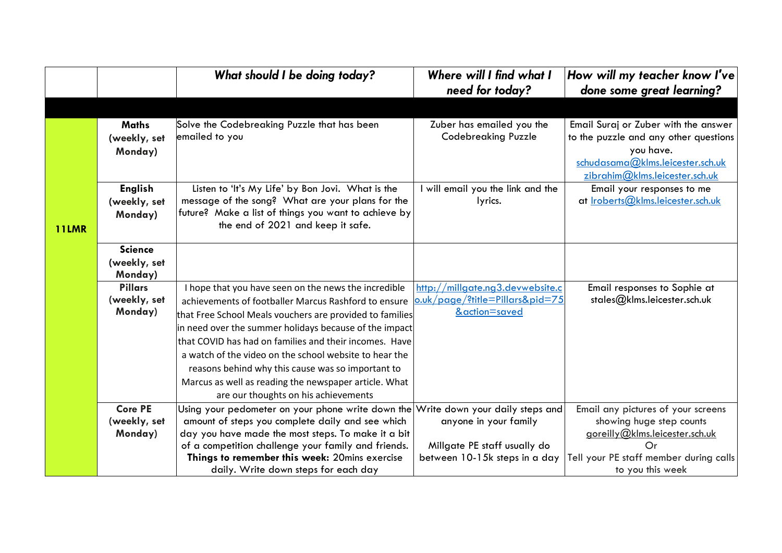|              |                                           | What should I be doing today?                                                                                                                                                                                                                                                                                                                                                                | Where will I find what I<br>need for today?                         | How will my teacher know I've<br>done some great learning?                                                                                                       |
|--------------|-------------------------------------------|----------------------------------------------------------------------------------------------------------------------------------------------------------------------------------------------------------------------------------------------------------------------------------------------------------------------------------------------------------------------------------------------|---------------------------------------------------------------------|------------------------------------------------------------------------------------------------------------------------------------------------------------------|
|              |                                           |                                                                                                                                                                                                                                                                                                                                                                                              |                                                                     |                                                                                                                                                                  |
|              | <b>Maths</b><br>(weekly, set<br>Monday)   | Solve the Codebreaking Puzzle that has been<br>emailed to you                                                                                                                                                                                                                                                                                                                                | Zuber has emailed you the<br><b>Codebreaking Puzzle</b>             | Email Suraj or Zuber with the answer<br>to the puzzle and any other questions<br>you have.<br>schudasama@klms.leicester.sch.uk<br>zibrahim@klms.leicester.sch.uk |
| <b>11LMR</b> | <b>English</b><br>(weekly, set<br>Monday) | Listen to 'It's My Life' by Bon Jovi. What is the<br>message of the song? What are your plans for the<br>future? Make a list of things you want to achieve by<br>the end of 2021 and keep it safe.                                                                                                                                                                                           | will email you the link and the<br>lyrics.                          | Email your responses to me<br>at Iroberts@klms.leicester.sch.uk                                                                                                  |
|              | <b>Science</b><br>(weekly, set<br>Monday) |                                                                                                                                                                                                                                                                                                                                                                                              |                                                                     |                                                                                                                                                                  |
|              | <b>Pillars</b><br>(weekly, set            | I hope that you have seen on the news the incredible<br>achievements of footballer Marcus Rashford to ensure                                                                                                                                                                                                                                                                                 | http://millgate.ng3.devwebsite.c<br>o.uk/page/?title=Pillars&pid=75 | Email responses to Sophie at<br>stales@klms.leicester.sch.uk                                                                                                     |
|              | Monday)                                   | that Free School Meals vouchers are provided to families<br>in need over the summer holidays because of the impact<br>that COVID has had on families and their incomes. Have<br>a watch of the video on the school website to hear the<br>reasons behind why this cause was so important to<br>Marcus as well as reading the newspaper article. What<br>are our thoughts on his achievements | &action=saved                                                       |                                                                                                                                                                  |
|              | <b>Core PE</b>                            | Using your pedometer on your phone write down the                                                                                                                                                                                                                                                                                                                                            | Write down your daily steps and                                     | Email any pictures of your screens                                                                                                                               |
|              | (weekly, set<br>Monday)                   | amount of steps you complete daily and see which<br>day you have made the most steps. To make it a bit<br>of a competition challenge your family and friends.                                                                                                                                                                                                                                | anyone in your family<br>Millgate PE staff usually do               | showing huge step counts<br>goreilly@klms.leicester.sch.uk<br>$\Omega$ r                                                                                         |
|              |                                           | Things to remember this week: 20mins exercise<br>daily. Write down steps for each day                                                                                                                                                                                                                                                                                                        | between 10-15k steps in a day                                       | Tell your PE staff member during calls<br>to you this week                                                                                                       |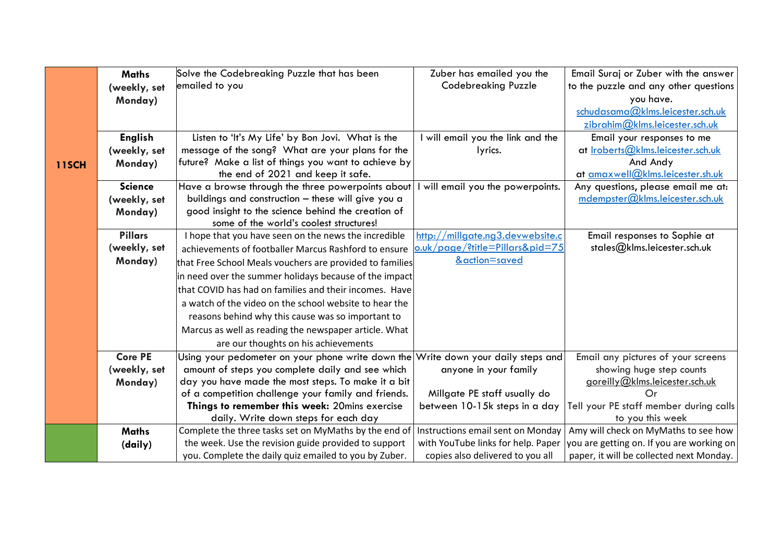|              | <b>Maths</b>   | Solve the Codebreaking Puzzle that has been                                       | Zuber has emailed you the          | Email Suraj or Zuber with the answer      |
|--------------|----------------|-----------------------------------------------------------------------------------|------------------------------------|-------------------------------------------|
|              | (weekly, set   | emailed to you                                                                    | <b>Codebreaking Puzzle</b>         | to the puzzle and any other questions     |
|              | Monday)        |                                                                                   |                                    | you have.                                 |
|              |                |                                                                                   |                                    | schudasama@klms.leicester.sch.uk          |
|              |                |                                                                                   |                                    | zibrahim@klms.leicester.sch.uk            |
|              | <b>English</b> | Listen to 'It's My Life' by Bon Jovi. What is the                                 | I will email you the link and the  | Email your responses to me                |
|              | (weekly, set   | message of the song? What are your plans for the                                  | lyrics.                            | at Iroberts@klms.leicester.sch.uk         |
| <b>11SCH</b> | Monday)        | future? Make a list of things you want to achieve by                              |                                    | And Andy                                  |
|              |                | the end of 2021 and keep it safe.                                                 |                                    | at amaxwell@klms.leicester.sh.uk          |
|              | <b>Science</b> | Have a browse through the three powerpoints about                                 | will email you the powerpoints.    | Any questions, please email me at:        |
|              | (weekly, set   | buildings and construction - these will give you a                                |                                    | mdempster@klms.leicester.sch.uk           |
|              | Monday)        | good insight to the science behind the creation of                                |                                    |                                           |
|              |                | some of the world's coolest structures!                                           |                                    |                                           |
|              | <b>Pillars</b> | I hope that you have seen on the news the incredible                              | http://millgate.ng3.devwebsite.c   | Email responses to Sophie at              |
|              | (weekly, set   | achievements of footballer Marcus Rashford to ensure                              | o.uk/page/?title=Pillars&pid=75    | stales@klms.leicester.sch.uk              |
|              | Monday)        | that Free School Meals vouchers are provided to families                          | &action=saved                      |                                           |
|              |                | in need over the summer holidays because of the impact                            |                                    |                                           |
|              |                | that COVID has had on families and their incomes. Have                            |                                    |                                           |
|              |                | a watch of the video on the school website to hear the                            |                                    |                                           |
|              |                | reasons behind why this cause was so important to                                 |                                    |                                           |
|              |                | Marcus as well as reading the newspaper article. What                             |                                    |                                           |
|              |                | are our thoughts on his achievements                                              |                                    |                                           |
|              | <b>Core PE</b> | Using your pedometer on your phone write down the Write down your daily steps and |                                    | Email any pictures of your screens        |
|              | (weekly, set   | amount of steps you complete daily and see which                                  | anyone in your family              | showing huge step counts                  |
|              | Monday)        | day you have made the most steps. To make it a bit                                |                                    | goreilly@klms.leicester.sch.uk            |
|              |                | of a competition challenge your family and friends.                               | Millgate PE staff usually do       | $\Omega$ r                                |
|              |                | Things to remember this week: 20mins exercise                                     | between 10-15k steps in a day      | Tell your PE staff member during calls    |
|              |                | daily. Write down steps for each day                                              |                                    | to you this week                          |
|              | <b>Maths</b>   | Complete the three tasks set on MyMaths by the end of                             | Instructions email sent on Monday  | Amy will check on MyMaths to see how      |
|              | (daily)        | the week. Use the revision guide provided to support                              | with YouTube links for help. Paper | you are getting on. If you are working on |
|              |                | you. Complete the daily quiz emailed to you by Zuber.                             | copies also delivered to you all   | paper, it will be collected next Monday.  |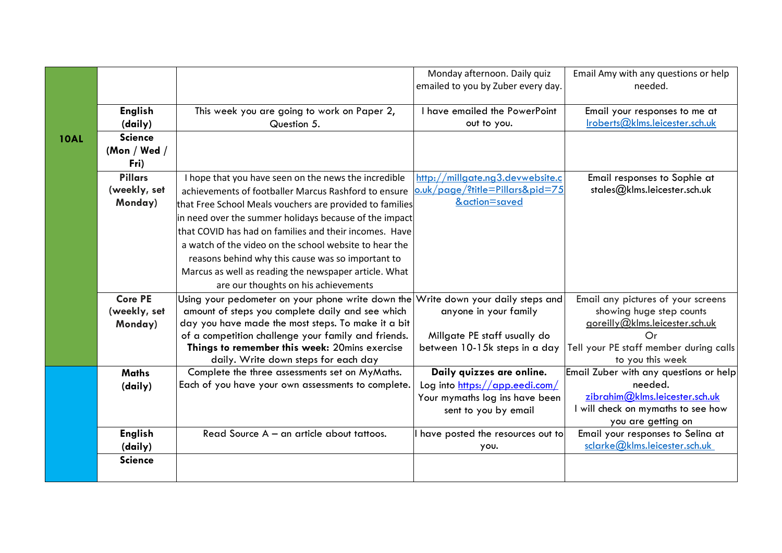|             |                |                                                                                   | Monday afternoon. Daily quiz       | Email Amy with any questions or help   |
|-------------|----------------|-----------------------------------------------------------------------------------|------------------------------------|----------------------------------------|
|             |                |                                                                                   | emailed to you by Zuber every day. | needed.                                |
|             |                |                                                                                   |                                    |                                        |
|             | <b>English</b> | This week you are going to work on Paper 2,                                       | I have emailed the PowerPoint      | Email your responses to me at          |
|             | (daily)        | Question 5.                                                                       | out to you.                        | Iroberts@klms.leicester.sch.uk         |
| <b>10AL</b> | <b>Science</b> |                                                                                   |                                    |                                        |
|             | (Mon / Wed /   |                                                                                   |                                    |                                        |
|             | Fri)           |                                                                                   |                                    |                                        |
|             | <b>Pillars</b> | I hope that you have seen on the news the incredible                              | http://millgate.ng3.devwebsite.c   | Email responses to Sophie at           |
|             | (weekly, set   | achievements of footballer Marcus Rashford to ensure                              | o.uk/page/?title=Pillars&pid=75    | stales@klms.leicester.sch.uk           |
|             | Monday)        | that Free School Meals vouchers are provided to families                          | &action=saved                      |                                        |
|             |                | in need over the summer holidays because of the impact                            |                                    |                                        |
|             |                | that COVID has had on families and their incomes. Have                            |                                    |                                        |
|             |                | a watch of the video on the school website to hear the                            |                                    |                                        |
|             |                | reasons behind why this cause was so important to                                 |                                    |                                        |
|             |                | Marcus as well as reading the newspaper article. What                             |                                    |                                        |
|             |                | are our thoughts on his achievements                                              |                                    |                                        |
|             | <b>Core PE</b> | Using your pedometer on your phone write down the Write down your daily steps and |                                    | Email any pictures of your screens     |
|             | (weekly, set   | amount of steps you complete daily and see which                                  | anyone in your family              | showing huge step counts               |
|             | Monday)        | day you have made the most steps. To make it a bit                                |                                    | goreilly@klms.leicester.sch.uk         |
|             |                | of a competition challenge your family and friends.                               | Millgate PE staff usually do       | Or                                     |
|             |                | Things to remember this week: 20mins exercise                                     | between 10-15k steps in a day      | Tell your PE staff member during calls |
|             |                | daily. Write down steps for each day                                              |                                    | to you this week                       |
|             | <b>Maths</b>   | Complete the three assessments set on MyMaths.                                    | Daily quizzes are online.          | Email Zuber with any questions or help |
|             | (daily)        | Each of you have your own assessments to complete.                                | Log into https://app.eedi.com/     | needed.                                |
|             |                |                                                                                   | Your mymaths log ins have been     | zibrahim@klms. leicester.sch.uk        |
|             |                |                                                                                   | sent to you by email               | I will check on mymaths to see how     |
|             |                |                                                                                   |                                    | you are getting on                     |
|             | <b>English</b> | Read Source A - an article about tattoos.                                         | have posted the resources out to   | Email your responses to Selina at      |
|             | (daily)        |                                                                                   | you.                               | sclarke@klms.leicester.sch.uk          |
|             | <b>Science</b> |                                                                                   |                                    |                                        |
|             |                |                                                                                   |                                    |                                        |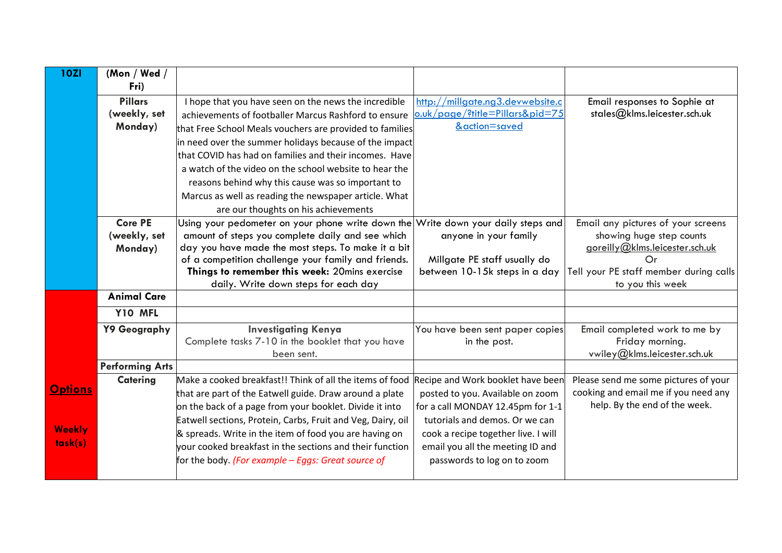| <b>10ZI</b>    | (Mon / Wed /<br>Fri)           |                                                                                                                    |                                                                       |                                                                              |
|----------------|--------------------------------|--------------------------------------------------------------------------------------------------------------------|-----------------------------------------------------------------------|------------------------------------------------------------------------------|
|                | <b>Pillars</b><br>(weekly, set | I hope that you have seen on the news the incredible<br>achievements of footballer Marcus Rashford to ensure       | http://millgate.ng3.devwebsite.c<br>o.uk/page/?title=Pillars&pid=75   | Email responses to Sophie at<br>stales@klms.leicester.sch.uk                 |
|                | Monday)                        | that Free School Meals vouchers are provided to families                                                           | &action=saved                                                         |                                                                              |
|                |                                | in need over the summer holidays because of the impact                                                             |                                                                       |                                                                              |
|                |                                | that COVID has had on families and their incomes. Have                                                             |                                                                       |                                                                              |
|                |                                | a watch of the video on the school website to hear the                                                             |                                                                       |                                                                              |
|                |                                | reasons behind why this cause was so important to                                                                  |                                                                       |                                                                              |
|                |                                | Marcus as well as reading the newspaper article. What                                                              |                                                                       |                                                                              |
|                |                                | are our thoughts on his achievements                                                                               |                                                                       |                                                                              |
|                | <b>Core PE</b>                 | Using your pedometer on your phone write down the                                                                  | Write down your daily steps and                                       | Email any pictures of your screens                                           |
|                | (weekly, set                   | amount of steps you complete daily and see which<br>day you have made the most steps. To make it a bit             | anyone in your family                                                 | showing huge step counts<br>goreilly@klms.leicester.sch.uk                   |
|                | Monday)                        | of a competition challenge your family and friends.                                                                | Millgate PE staff usually do                                          | Or                                                                           |
|                |                                | Things to remember this week: 20mins exercise                                                                      | between 10-15k steps in a day                                         | Tell your PE staff member during calls                                       |
|                |                                | daily. Write down steps for each day                                                                               |                                                                       | to you this week                                                             |
|                | <b>Animal Care</b>             |                                                                                                                    |                                                                       |                                                                              |
|                | Y10 MFL                        |                                                                                                                    |                                                                       |                                                                              |
|                | Y9 Geography                   | <b>Investigating Kenya</b>                                                                                         | You have been sent paper copies                                       | Email completed work to me by                                                |
|                |                                | Complete tasks 7-10 in the booklet that you have                                                                   | in the post.                                                          | Friday morning.                                                              |
|                |                                | been sent.                                                                                                         |                                                                       | vwiley@klms.leicester.sch.uk                                                 |
|                | <b>Performing Arts</b>         |                                                                                                                    |                                                                       |                                                                              |
| <b>Options</b> | <b>Catering</b>                | Make a cooked breakfast!! Think of all the items of food                                                           | Recipe and Work booklet have been                                     | Please send me some pictures of your<br>cooking and email me if you need any |
|                |                                | that are part of the Eatwell guide. Draw around a plate<br>on the back of a page from your booklet. Divide it into | posted to you. Available on zoom<br>for a call MONDAY 12.45pm for 1-1 | help. By the end of the week.                                                |
|                |                                | Eatwell sections, Protein, Carbs, Fruit and Veg, Dairy, oil                                                        | tutorials and demos. Or we can                                        |                                                                              |
| <b>Weekly</b>  |                                | & spreads. Write in the item of food you are having on                                                             | cook a recipe together live. I will                                   |                                                                              |
| task(s)        |                                | vour cooked breakfast in the sections and their function                                                           | email you all the meeting ID and                                      |                                                                              |
|                |                                | for the body. (For example – Eggs: Great source of                                                                 | passwords to log on to zoom                                           |                                                                              |
|                |                                |                                                                                                                    |                                                                       |                                                                              |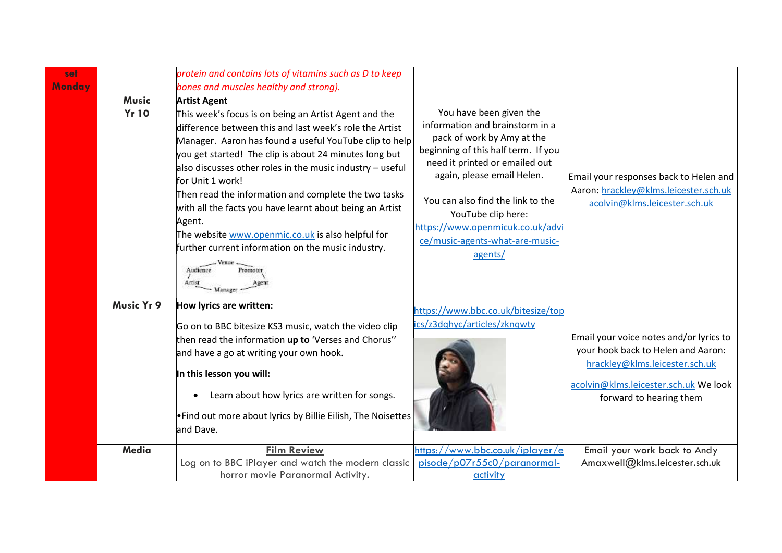| set    | protein and contains lots of vitamins such as D to keep |                                                                                                                                                                                                                                                                                                                                                                                                                                                                                                                                                                                                               |                                                                                                                                                                                                                                                                                                                                              |                                                                                                                                                                                     |
|--------|---------------------------------------------------------|---------------------------------------------------------------------------------------------------------------------------------------------------------------------------------------------------------------------------------------------------------------------------------------------------------------------------------------------------------------------------------------------------------------------------------------------------------------------------------------------------------------------------------------------------------------------------------------------------------------|----------------------------------------------------------------------------------------------------------------------------------------------------------------------------------------------------------------------------------------------------------------------------------------------------------------------------------------------|-------------------------------------------------------------------------------------------------------------------------------------------------------------------------------------|
| Monday |                                                         | bones and muscles healthy and strong).                                                                                                                                                                                                                                                                                                                                                                                                                                                                                                                                                                        |                                                                                                                                                                                                                                                                                                                                              |                                                                                                                                                                                     |
|        | <b>Music</b><br><b>Yr 10</b>                            | <b>Artist Agent</b><br>This week's focus is on being an Artist Agent and the<br>difference between this and last week's role the Artist<br>Manager. Aaron has found a useful YouTube clip to help<br>you get started! The clip is about 24 minutes long but<br>also discusses other roles in the music industry $-$ useful<br>for Unit 1 work!<br>Then read the information and complete the two tasks<br>with all the facts you have learnt about being an Artist<br>Agent.<br>The website www.openmic.co.uk is also helpful for<br>further current information on the music industry.<br>Audience<br>Artist | You have been given the<br>information and brainstorm in a<br>pack of work by Amy at the<br>beginning of this half term. If you<br>need it printed or emailed out<br>again, please email Helen.<br>You can also find the link to the<br>YouTube clip here:<br>https://www.openmicuk.co.uk/advi<br>ce/music-agents-what-are-music-<br>agents/ | Email your responses back to Helen and<br>Aaron: hrackley@klms.leicester.sch.uk<br>acolvin@klms.leicester.sch.uk                                                                    |
|        | Music Yr 9                                              | How lyrics are written:<br>Go on to BBC bitesize KS3 music, watch the video clip<br>then read the information up to 'Verses and Chorus"<br>and have a go at writing your own hook.<br>In this lesson you will:<br>Learn about how lyrics are written for songs.<br>. Find out more about lyrics by Billie Eilish, The Noisettes<br>and Dave.                                                                                                                                                                                                                                                                  | https://www.bbc.co.uk/bitesize/top<br>ics/z3dqhyc/articles/zknqwty                                                                                                                                                                                                                                                                           | Email your voice notes and/or lyrics to<br>your hook back to Helen and Aaron:<br>hrackley@klms.leicester.sch.uk<br>acolvin@klms.leicester.sch.uk We look<br>forward to hearing them |
|        | Media                                                   | <b>Film Review</b><br>Log on to BBC iPlayer and watch the modern classic<br>horror movie Paranormal Activity.                                                                                                                                                                                                                                                                                                                                                                                                                                                                                                 | https://www.bbc.co.uk/iplayer/el<br>pisode/p07r55c0/paranormal-<br>activity                                                                                                                                                                                                                                                                  | Email your work back to Andy<br>Amaxwell@klms.leicester.sch.uk                                                                                                                      |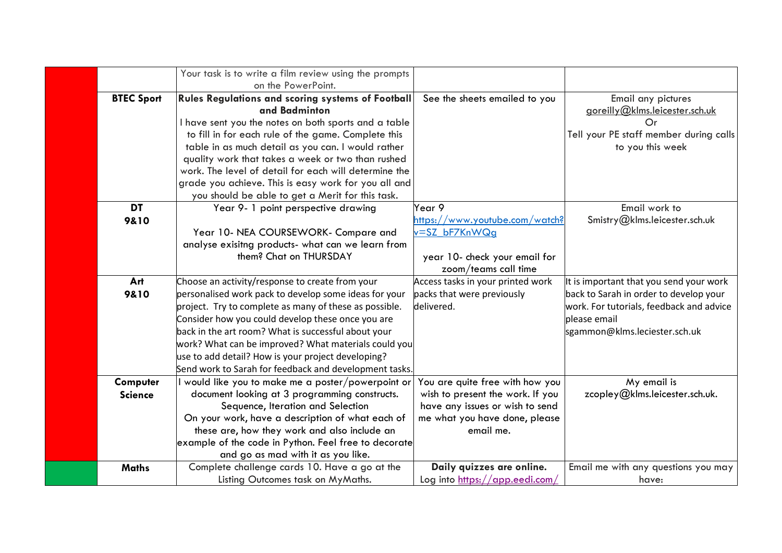|                   | Your task is to write a film review using the prompts  |                                                             |                                          |
|-------------------|--------------------------------------------------------|-------------------------------------------------------------|------------------------------------------|
|                   | on the PowerPoint.                                     |                                                             |                                          |
| <b>BTEC Sport</b> | Rules Regulations and scoring systems of Football      | See the sheets emailed to you                               | Email any pictures                       |
|                   | and Badminton                                          |                                                             | goreilly@klms.leicester.sch.uk           |
|                   | I have sent you the notes on both sports and a table   |                                                             | Or                                       |
|                   | to fill in for each rule of the game. Complete this    |                                                             | Tell your PE staff member during calls   |
|                   | table in as much detail as you can. I would rather     |                                                             | to you this week                         |
|                   | quality work that takes a week or two than rushed      |                                                             |                                          |
|                   | work. The level of detail for each will determine the  |                                                             |                                          |
|                   | grade you achieve. This is easy work for you all and   |                                                             |                                          |
|                   | you should be able to get a Merit for this task.       |                                                             |                                          |
| <b>DT</b>         | Year 9- 1 point perspective drawing                    | Year 9                                                      | Email work to                            |
| 9&10              |                                                        | https://www.youtube.com/watch?                              | Smistry@klms.leicester.sch.uk            |
|                   | Year 10- NEA COURSEWORK- Compare and                   | v=SZ bF7KnWQg                                               |                                          |
|                   | analyse exisitng products- what can we learn from      |                                                             |                                          |
|                   | them? Chat on THURSDAY                                 | year 10- check your email for                               |                                          |
|                   |                                                        | zoom/teams call time                                        |                                          |
| Art               | Choose an activity/response to create from your        | Access tasks in your printed work                           | It is important that you send your work  |
| 9&10              | personalised work pack to develop some ideas for your  | packs that were previously                                  | back to Sarah in order to develop your   |
|                   | project. Try to complete as many of these as possible. | delivered.                                                  | work. For tutorials, feedback and advice |
|                   | Consider how you could develop these once you are      |                                                             | please email                             |
|                   | back in the art room? What is successful about your    |                                                             | sgammon@klms.leciester.sch.uk            |
|                   | work? What can be improved? What materials could you   |                                                             |                                          |
|                   | use to add detail? How is your project developing?     |                                                             |                                          |
|                   | Send work to Sarah for feedback and development tasks. |                                                             |                                          |
| Computer          | I would like you to make me a poster/powerpoint or     | You are quite free with how you                             | My email is                              |
| <b>Science</b>    | document looking at 3 programming constructs.          | wish to present the work. If you                            | zcopley@klms.leicester.sch.uk.           |
|                   | Sequence, Iteration and Selection                      | have any issues or wish to send                             |                                          |
|                   | On your work, have a description of what each of       | me what you have done, please                               |                                          |
|                   | these are, how they work and also include an           | email me.                                                   |                                          |
|                   |                                                        |                                                             |                                          |
|                   | example of the code in Python. Feel free to decorate   |                                                             |                                          |
|                   | and go as mad with it as you like.                     |                                                             |                                          |
| <b>Maths</b>      | Complete challenge cards 10. Have a go at the          | Daily quizzes are online.<br>Log into https://app.eedi.com/ | Email me with any questions you may      |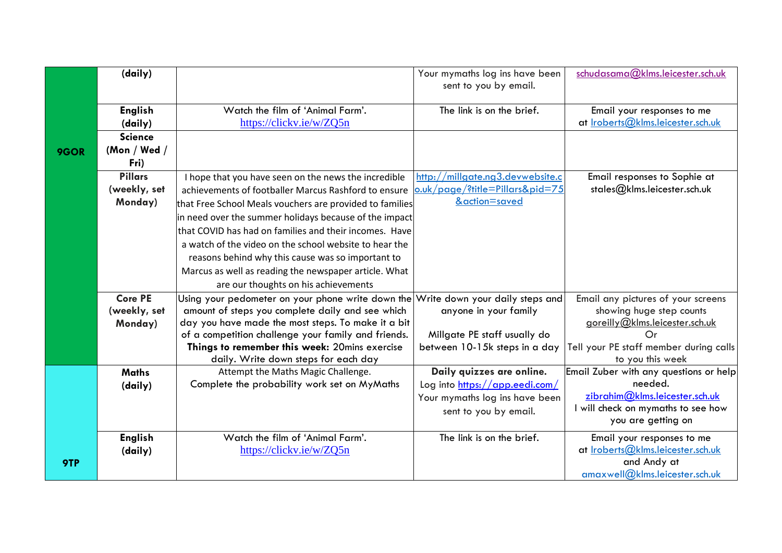|      | (daily)        |                                                                                    | Your mymaths log ins have been<br>sent to you by email. | schudasama@klms.leicester.sch.uk                           |
|------|----------------|------------------------------------------------------------------------------------|---------------------------------------------------------|------------------------------------------------------------|
|      | <b>English</b> | Watch the film of 'Animal Farm'.                                                   | The link is on the brief.                               | Email your responses to me                                 |
|      | (daily)        | https://clickv.ie/w/ZQ5n                                                           |                                                         | at Iroberts@klms.leicester.sch.uk                          |
|      | <b>Science</b> |                                                                                    |                                                         |                                                            |
| 9GOR | (Mon / Wed /   |                                                                                    |                                                         |                                                            |
|      | Fri)           |                                                                                    |                                                         |                                                            |
|      | <b>Pillars</b> | I hope that you have seen on the news the incredible                               | http://millgate.ng3.devwebsite.c                        | Email responses to Sophie at                               |
|      | (weekly, set   | achievements of footballer Marcus Rashford to ensure                               | o.uk/page/?title=Pillars&pid=75                         | stales@klms.leicester.sch.uk                               |
|      | Monday)        | that Free School Meals vouchers are provided to families                           | &action=saved                                           |                                                            |
|      |                | in need over the summer holidays because of the impact                             |                                                         |                                                            |
|      |                | that COVID has had on families and their incomes. Have                             |                                                         |                                                            |
|      |                | a watch of the video on the school website to hear the                             |                                                         |                                                            |
|      |                | reasons behind why this cause was so important to                                  |                                                         |                                                            |
|      |                | Marcus as well as reading the newspaper article. What                              |                                                         |                                                            |
|      |                | are our thoughts on his achievements                                               |                                                         |                                                            |
|      | <b>Core PE</b> | Using your pedometer on your phone write down the Write down your daily steps and  |                                                         | Email any pictures of your screens                         |
|      | (weekly, set   | amount of steps you complete daily and see which                                   | anyone in your family                                   | showing huge step counts                                   |
|      | Monday)        | day you have made the most steps. To make it a bit                                 |                                                         | goreilly@klms.leicester.sch.uk                             |
|      |                | of a competition challenge your family and friends.                                | Millgate PE staff usually do                            | Or                                                         |
|      |                | Things to remember this week: 20mins exercise                                      | between 10-15k steps in a day                           | Tell your PE staff member during calls                     |
|      |                | daily. Write down steps for each day                                               | Daily quizzes are online.                               | to you this week<br>Email Zuber with any questions or help |
|      | <b>Maths</b>   | Attempt the Maths Magic Challenge.<br>Complete the probability work set on MyMaths | Log into https://app.eedi.com/                          | needed.                                                    |
|      | (daily)        |                                                                                    | Your mymaths log ins have been                          | zibrahim@klms.leicester.sch.uk                             |
|      |                |                                                                                    | sent to you by email.                                   | I will check on mymaths to see how                         |
|      |                |                                                                                    |                                                         | you are getting on                                         |
|      | <b>English</b> | Watch the film of 'Animal Farm'.                                                   | The link is on the brief.                               | Email your responses to me                                 |
|      | (daily)        | https://clickv.ie/w/ZQ5n                                                           |                                                         | at Iroberts@klms.leicester.sch.uk                          |
| 9TP  |                |                                                                                    |                                                         | and Andy at                                                |
|      |                |                                                                                    |                                                         | amaxwell@klms.leicester.sch.uk                             |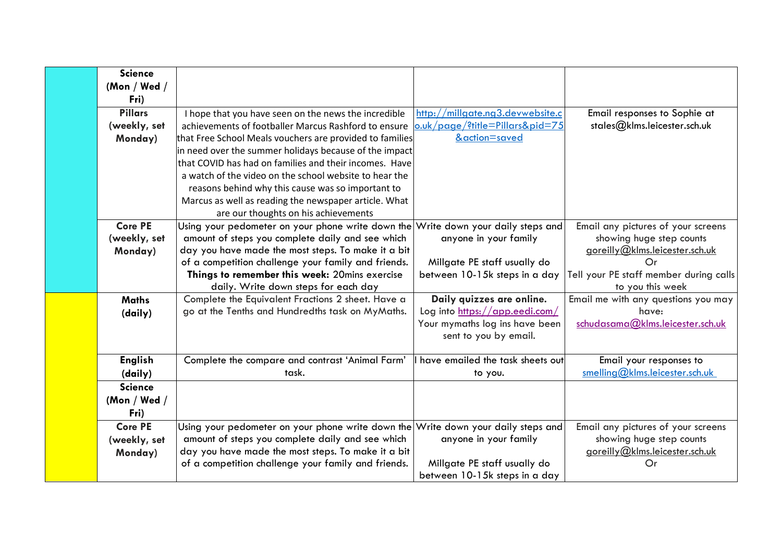| <b>Science</b> |                                                                                   |                                    |                                        |
|----------------|-----------------------------------------------------------------------------------|------------------------------------|----------------------------------------|
| (Mon / Wed /   |                                                                                   |                                    |                                        |
| Fri)           |                                                                                   |                                    |                                        |
| <b>Pillars</b> | I hope that you have seen on the news the incredible                              | http://millgate.ng3.devwebsite.c   | Email responses to Sophie at           |
| (weekly, set   | achievements of footballer Marcus Rashford to ensure                              | o.uk/page/?title=Pillars&pid=75    | stales@klms.leicester.sch.uk           |
| Monday)        | that Free School Meals vouchers are provided to families                          | &action=saved                      |                                        |
|                | in need over the summer holidays because of the impact                            |                                    |                                        |
|                | that COVID has had on families and their incomes. Have                            |                                    |                                        |
|                | a watch of the video on the school website to hear the                            |                                    |                                        |
|                | reasons behind why this cause was so important to                                 |                                    |                                        |
|                | Marcus as well as reading the newspaper article. What                             |                                    |                                        |
|                | are our thoughts on his achievements                                              |                                    |                                        |
| <b>Core PE</b> | Using your pedometer on your phone write down the Write down your daily steps and |                                    | Email any pictures of your screens     |
| (weekly, set   | amount of steps you complete daily and see which                                  | anyone in your family              | showing huge step counts               |
| Monday)        | day you have made the most steps. To make it a bit                                |                                    | goreilly@klms.leicester.sch.uk         |
|                | of a competition challenge your family and friends.                               | Millgate PE staff usually do       | Οr                                     |
|                | Things to remember this week: 20mins exercise                                     | between 10-15k steps in a day      | Tell your PE staff member during calls |
|                | daily. Write down steps for each day                                              |                                    | to you this week                       |
| <b>Maths</b>   | Complete the Equivalent Fractions 2 sheet. Have a                                 | Daily quizzes are online.          | Email me with any questions you may    |
| (daily)        | go at the Tenths and Hundredths task on MyMaths.                                  | Log into https://app.eedi.com/     | have:                                  |
|                |                                                                                   | Your mymaths log ins have been     | schudasama@klms.leicester.sch.uk       |
|                |                                                                                   | sent to you by email.              |                                        |
| <b>English</b> | Complete the compare and contrast 'Animal Farm'                                   | I have emailed the task sheets out | Email your responses to                |
| (daily)        | task.                                                                             | to you.                            | smelling@klms.leicester.sch.uk         |
| <b>Science</b> |                                                                                   |                                    |                                        |
| (Mon / Wed /   |                                                                                   |                                    |                                        |
| Fri)           |                                                                                   |                                    |                                        |
| <b>Core PE</b> | Using your pedometer on your phone write down the Write down your daily steps and |                                    | Email any pictures of your screens     |
| (weekly, set   | amount of steps you complete daily and see which                                  | anyone in your family              | showing huge step counts               |
| Monday)        | day you have made the most steps. To make it a bit                                |                                    | goreilly@klms.leicester.sch.uk         |
|                | of a competition challenge your family and friends.                               | Millgate PE staff usually do       | Or                                     |
|                |                                                                                   | between 10-15k steps in a day      |                                        |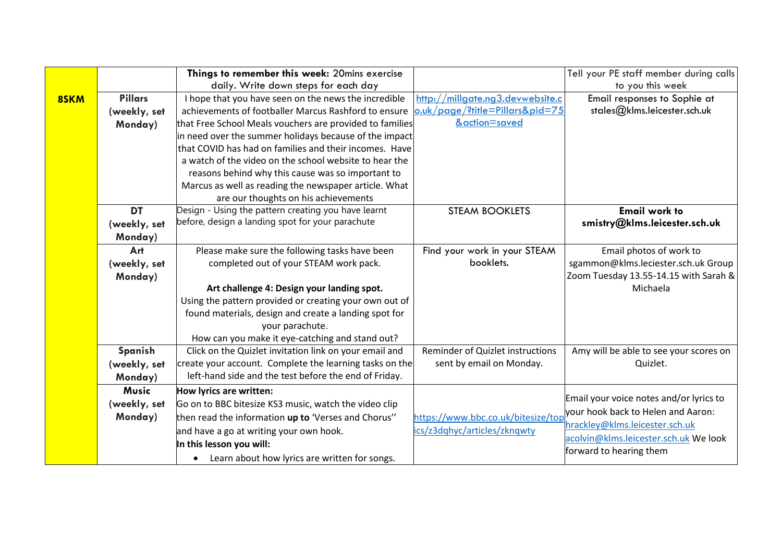|      | Things to remember this week: 20mins exercise |                                                            |                                    | Tell your PE staff member during calls  |
|------|-----------------------------------------------|------------------------------------------------------------|------------------------------------|-----------------------------------------|
|      |                                               | daily. Write down steps for each day                       |                                    | to you this week                        |
| 8SKM | <b>Pillars</b>                                | I hope that you have seen on the news the incredible       | http://millgate.ng3.devwebsite.c   | Email responses to Sophie at            |
|      | (weekly, set                                  | achievements of footballer Marcus Rashford to ensure       | o.uk/page/?title=Pillars&pid=75    | stales@klms.leicester.sch.uk            |
|      | Monday)                                       | that Free School Meals vouchers are provided to families   | &action=saved                      |                                         |
|      |                                               | in need over the summer holidays because of the impact     |                                    |                                         |
|      |                                               | that COVID has had on families and their incomes. Have     |                                    |                                         |
|      |                                               | a watch of the video on the school website to hear the     |                                    |                                         |
|      |                                               | reasons behind why this cause was so important to          |                                    |                                         |
|      |                                               | Marcus as well as reading the newspaper article. What      |                                    |                                         |
|      |                                               | are our thoughts on his achievements                       |                                    |                                         |
|      | <b>DT</b>                                     | Design - Using the pattern creating you have learnt        | <b>STEAM BOOKLETS</b>              | <b>Email work to</b>                    |
|      | (weekly, set                                  | before, design a landing spot for your parachute           |                                    | smistry@klms.leicester.sch.uk           |
|      | Monday)                                       |                                                            |                                    |                                         |
|      | Art                                           | Please make sure the following tasks have been             | Find your work in your STEAM       | Email photos of work to                 |
|      | (weekly, set                                  | completed out of your STEAM work pack.                     | booklets.                          | sgammon@klms.leciester.sch.uk Group     |
|      | Monday)                                       |                                                            |                                    | Zoom Tuesday 13.55-14.15 with Sarah &   |
|      |                                               | Art challenge 4: Design your landing spot.                 |                                    | Michaela                                |
|      |                                               | Using the pattern provided or creating your own out of     |                                    |                                         |
|      |                                               | found materials, design and create a landing spot for      |                                    |                                         |
|      |                                               | your parachute.                                            |                                    |                                         |
|      |                                               | How can you make it eye-catching and stand out?            |                                    |                                         |
|      | Spanish                                       | Click on the Quizlet invitation link on your email and     | Reminder of Quizlet instructions   | Amy will be able to see your scores on  |
|      | (weekly, set                                  | create your account. Complete the learning tasks on the    | sent by email on Monday.           | Quizlet.                                |
|      | Monday)                                       | left-hand side and the test before the end of Friday.      |                                    |                                         |
|      | Music                                         | How lyrics are written:                                    |                                    | Email your voice notes and/or lyrics to |
|      | (weekly, set                                  | Go on to BBC bitesize KS3 music, watch the video clip      |                                    |                                         |
|      | Monday)                                       | then read the information up to 'Verses and Chorus"        | https://www.bbc.co.uk/bitesize/top | your hook back to Helen and Aaron:      |
|      |                                               | and have a go at writing your own hook.                    | ics/z3dqhyc/articles/zknqwty       | hrackley@klms.leicester.sch.uk          |
|      |                                               | In this lesson you will:                                   |                                    | acolvin@klms.leicester.sch.uk We look   |
|      |                                               | Learn about how lyrics are written for songs.<br>$\bullet$ |                                    | forward to hearing them                 |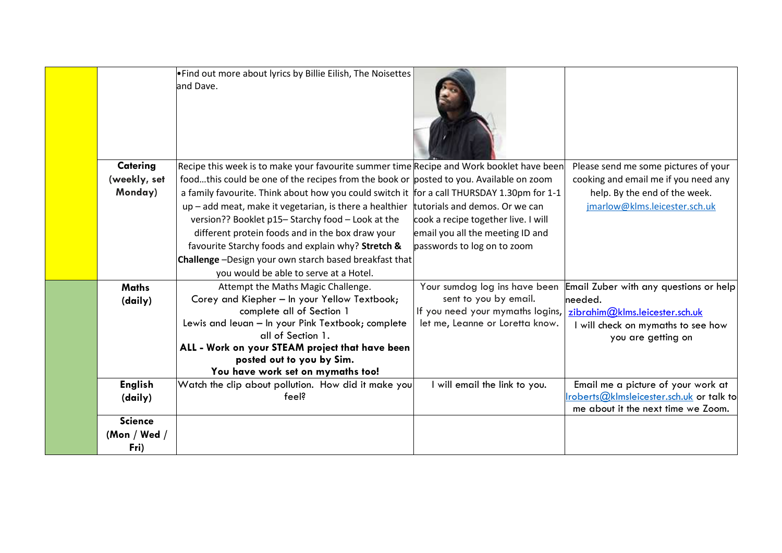|                | . Find out more about lyrics by Billie Eilish, The Noisettes<br>land Dave.                 |                                                                     |                                                  |
|----------------|--------------------------------------------------------------------------------------------|---------------------------------------------------------------------|--------------------------------------------------|
| Catering       | Recipe this week is to make your favourite summer time Recipe and Work booklet have been   |                                                                     | Please send me some pictures of your             |
| (weekly, set   | foodthis could be one of the recipes from the book or posted to you. Available on zoom     |                                                                     | cooking and email me if you need any             |
| Monday)        | a family favourite. Think about how you could switch it for a call THURSDAY 1.30pm for 1-1 |                                                                     | help. By the end of the week.                    |
|                | up - add meat, make it vegetarian, is there a healthier                                    | tutorials and demos. Or we can                                      | jmarlow@klms.leicester.sch.uk                    |
|                | version?? Booklet p15-Starchy food - Look at the                                           | cook a recipe together live. I will                                 |                                                  |
|                | different protein foods and in the box draw your                                           | email you all the meeting ID and                                    |                                                  |
|                | favourite Starchy foods and explain why? Stretch &                                         | passwords to log on to zoom                                         |                                                  |
|                | Challenge -Design your own starch based breakfast that                                     |                                                                     |                                                  |
|                | you would be able to serve at a Hotel.                                                     |                                                                     |                                                  |
| <b>Maths</b>   | Attempt the Maths Magic Challenge.                                                         | Your sumdog log ins have been                                       | Email Zuber with any questions or help           |
| (daily)        | Corey and Kiepher - In your Yellow Textbook;                                               | sent to you by email.                                               | needed.                                          |
|                | complete all of Section 1                                                                  | If you need your mymaths logins,<br>let me, Leanne or Loretta know. | zibrahim@klms.leicester.sch.uk                   |
|                | Lewis and leuan - In your Pink Textbook; complete<br>all of Section 1.                     |                                                                     | will check on mymaths to see how                 |
|                | ALL - Work on your STEAM project that have been                                            |                                                                     | you are getting on                               |
|                | posted out to you by Sim.                                                                  |                                                                     |                                                  |
|                | You have work set on mymaths too!                                                          |                                                                     |                                                  |
| <b>English</b> | Watch the clip about pollution. How did it make you                                        | I will email the link to you.                                       | Email me a picture of your work at               |
| (daily)        | feel?                                                                                      |                                                                     | <u> Iroberts@kImsleicester.sch.uk</u> or talk to |
|                |                                                                                            |                                                                     | me about it the next time we Zoom.               |
| <b>Science</b> |                                                                                            |                                                                     |                                                  |
| (Mon / Wed /   |                                                                                            |                                                                     |                                                  |
| Fri)           |                                                                                            |                                                                     |                                                  |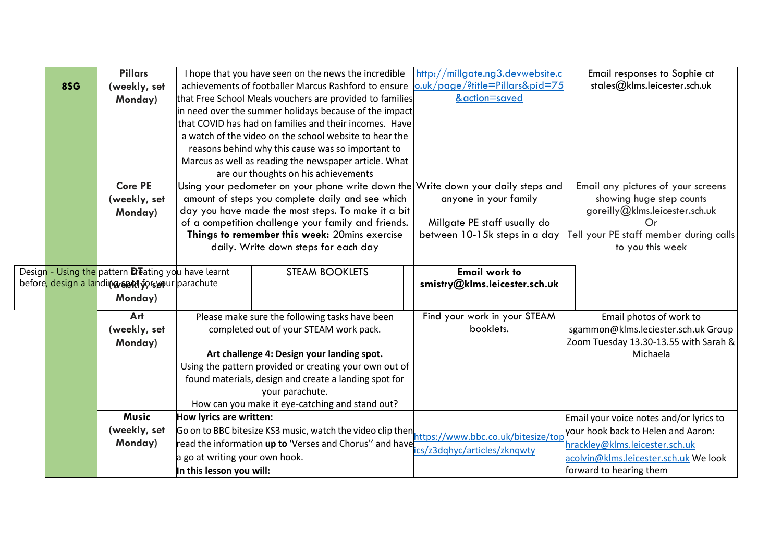|     | <b>Pillars</b>                                                           |                                                 | I hope that you have seen on the news the incredible                              | http://millgate.ng3.devwebsite.c   | Email responses to Sophie at            |
|-----|--------------------------------------------------------------------------|-------------------------------------------------|-----------------------------------------------------------------------------------|------------------------------------|-----------------------------------------|
| 8SG | (weekly, set                                                             |                                                 | achievements of footballer Marcus Rashford to ensure                              | o.uk/page/?title=Pillars&pid=75    | stales@klms.leicester.sch.uk            |
|     | Monday)                                                                  |                                                 | that Free School Meals vouchers are provided to families                          | &action=saved                      |                                         |
|     |                                                                          |                                                 | in need over the summer holidays because of the impact                            |                                    |                                         |
|     |                                                                          |                                                 | that COVID has had on families and their incomes. Have                            |                                    |                                         |
|     |                                                                          |                                                 | a watch of the video on the school website to hear the                            |                                    |                                         |
|     |                                                                          |                                                 | reasons behind why this cause was so important to                                 |                                    |                                         |
|     |                                                                          |                                                 | Marcus as well as reading the newspaper article. What                             |                                    |                                         |
|     |                                                                          |                                                 | are our thoughts on his achievements                                              |                                    |                                         |
|     | <b>Core PE</b>                                                           |                                                 | Using your pedometer on your phone write down the Write down your daily steps and |                                    | Email any pictures of your screens      |
|     | (weekly, set                                                             |                                                 | amount of steps you complete daily and see which                                  | anyone in your family              | showing huge step counts                |
|     | Monday)                                                                  |                                                 | day you have made the most steps. To make it a bit                                |                                    | goreilly@klms.leicester.sch.uk          |
|     |                                                                          |                                                 | of a competition challenge your family and friends.                               | Millgate PE staff usually do       | Or                                      |
|     |                                                                          |                                                 | Things to remember this week: 20mins exercise                                     | between 10-15k steps in a day      | Tell your PE staff member during calls  |
|     |                                                                          |                                                 | daily. Write down steps for each day                                              |                                    | to you this week                        |
|     | Design - Using the pattern <b>De</b> ating you have learnt               |                                                 | <b>STEAM BOOKLETS</b>                                                             | <b>Email work to</b>               |                                         |
|     | before <mark>, design a lan</mark> di <b>ng sekt forsvo</b> ur parachute |                                                 |                                                                                   | smistry@klms.leicester.sch.uk      |                                         |
|     | Monday)                                                                  |                                                 |                                                                                   |                                    |                                         |
|     |                                                                          |                                                 |                                                                                   |                                    |                                         |
|     | Art                                                                      |                                                 | Please make sure the following tasks have been                                    | Find your work in your STEAM       | Email photos of work to                 |
|     | (weekly, set                                                             |                                                 | completed out of your STEAM work pack.                                            | booklets.                          | sgammon@klms.leciester.sch.uk Group     |
|     | Monday)                                                                  |                                                 |                                                                                   |                                    | Zoom Tuesday 13.30-13.55 with Sarah &   |
|     |                                                                          |                                                 | Art challenge 4: Design your landing spot.                                        |                                    | Michaela                                |
|     |                                                                          |                                                 | Using the pattern provided or creating your own out of                            |                                    |                                         |
|     |                                                                          |                                                 | found materials, design and create a landing spot for                             |                                    |                                         |
|     |                                                                          |                                                 | your parachute.                                                                   |                                    |                                         |
|     |                                                                          | How can you make it eye-catching and stand out? |                                                                                   |                                    |                                         |
|     | <b>Music</b>                                                             | How lyrics are written:                         |                                                                                   |                                    | Email your voice notes and/or lyrics to |
|     | (weekly, set                                                             |                                                 | Go on to BBC bitesize KS3 music, watch the video clip then                        | https://www.bbc.co.uk/bitesize/top | your hook back to Helen and Aaron:      |
|     | Monday)                                                                  |                                                 | read the information up to 'Verses and Chorus'' and have                          | cs/z3dqhyc/articles/zknqwty        | hrackley@klms.leicester.sch.uk          |
|     |                                                                          | a go at writing your own hook.                  |                                                                                   |                                    | acolvin@klms.leicester.sch.uk We look   |
|     |                                                                          | In this lesson you will:                        |                                                                                   |                                    | forward to hearing them                 |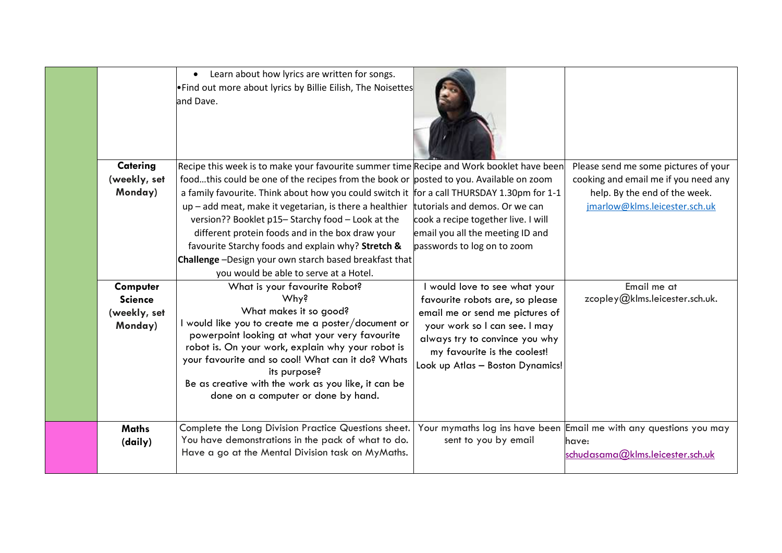| Catering<br>(weekly, set<br>Monday)                   | Learn about how lyrics are written for songs.<br>•Find out more about lyrics by Billie Eilish, The Noisettes<br>and Dave.<br>Recipe this week is to make your favourite summer time Recipe and Work booklet have been<br>foodthis could be one of the recipes from the book or posted to you. Available on zoom<br>a family favourite. Think about how you could switch it for a call THURSDAY 1.30pm for 1-1<br>up - add meat, make it vegetarian, is there a healthier<br>version?? Booklet p15- Starchy food - Look at the<br>different protein foods and in the box draw your<br>favourite Starchy foods and explain why? Stretch &<br>Challenge -Design your own starch based breakfast that<br>you would be able to serve at a Hotel.<br>What is your favourite Robot? | tutorials and demos. Or we can<br>cook a recipe together live. I will<br>email you all the meeting ID and<br>passwords to log on to zoom                                                                                                 | Please send me some pictures of your<br>cooking and email me if you need any<br>help. By the end of the week.<br>jmarlow@klms.leicester.sch.uk<br>Email me at |
|-------------------------------------------------------|------------------------------------------------------------------------------------------------------------------------------------------------------------------------------------------------------------------------------------------------------------------------------------------------------------------------------------------------------------------------------------------------------------------------------------------------------------------------------------------------------------------------------------------------------------------------------------------------------------------------------------------------------------------------------------------------------------------------------------------------------------------------------|------------------------------------------------------------------------------------------------------------------------------------------------------------------------------------------------------------------------------------------|---------------------------------------------------------------------------------------------------------------------------------------------------------------|
| Computer<br><b>Science</b><br>(weekly, set<br>Monday) | Why?<br>What makes it so good?<br>I would like you to create me a poster/document or<br>powerpoint looking at what your very favourite<br>robot is. On your work, explain why your robot is<br>your favourite and so cool! What can it do? Whats<br>its purpose?<br>Be as creative with the work as you like, it can be<br>done on a computer or done by hand.                                                                                                                                                                                                                                                                                                                                                                                                               | would love to see what your<br>favourite robots are, so please<br>email me or send me pictures of<br>your work so I can see. I may<br>always try to convince you why<br>my favourite is the coolest!<br>Look up Atlas - Boston Dynamics! | zcopley@klms.leicester.sch.uk.                                                                                                                                |
| <b>Maths</b><br>(daily)                               | Complete the Long Division Practice Questions sheet.<br>You have demonstrations in the pack of what to do.<br>Have a go at the Mental Division task on MyMaths.                                                                                                                                                                                                                                                                                                                                                                                                                                                                                                                                                                                                              | sent to you by email                                                                                                                                                                                                                     | Your mymaths log ins have been Email me with any questions you may<br>have:<br>schudasama@klms.leicester.sch.uk                                               |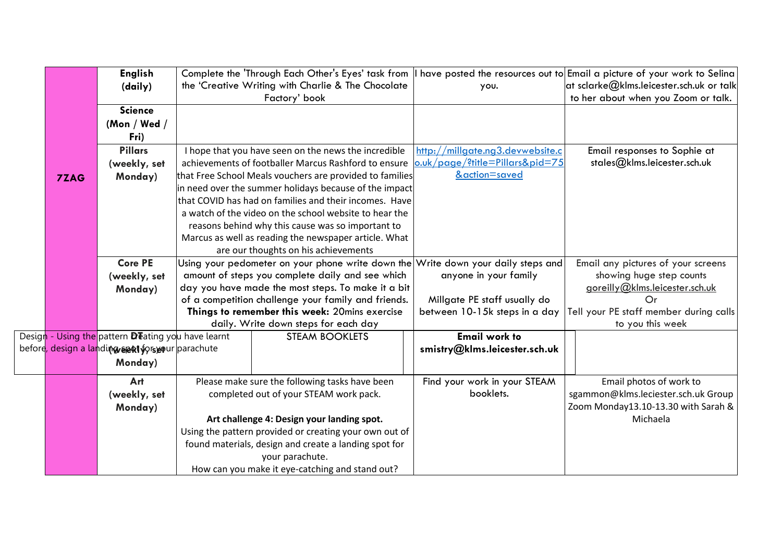|      | <b>English</b>                                                           |                                                                                   |                                  | Complete the 'Through Each Other's Eyes' task from    have posted the resources out to Email a picture of your work to Selina |
|------|--------------------------------------------------------------------------|-----------------------------------------------------------------------------------|----------------------------------|-------------------------------------------------------------------------------------------------------------------------------|
|      | (daily)                                                                  | the 'Creative Writing with Charlie & The Chocolate                                | you.                             | at sclarke@klms.leicester.sch.uk or talk                                                                                      |
|      | <b>Science</b>                                                           | Factory' book                                                                     |                                  | to her about when you Zoom or talk.                                                                                           |
|      | (Mon / Wed /                                                             |                                                                                   |                                  |                                                                                                                               |
|      | Fri)                                                                     |                                                                                   |                                  |                                                                                                                               |
|      | <b>Pillars</b>                                                           | I hope that you have seen on the news the incredible                              | http://millgate.ng3.devwebsite.c | Email responses to Sophie at                                                                                                  |
|      | (weekly, set                                                             | achievements of footballer Marcus Rashford to ensure                              | o.uk/page/?title=Pillars&pid=75  | stales@klms.leicester.sch.uk                                                                                                  |
| 7ZAG | Monday)                                                                  | that Free School Meals vouchers are provided to families                          | &action=saved                    |                                                                                                                               |
|      |                                                                          | in need over the summer holidays because of the impact                            |                                  |                                                                                                                               |
|      |                                                                          | that COVID has had on families and their incomes. Have                            |                                  |                                                                                                                               |
|      |                                                                          | a watch of the video on the school website to hear the                            |                                  |                                                                                                                               |
|      |                                                                          | reasons behind why this cause was so important to                                 |                                  |                                                                                                                               |
|      |                                                                          | Marcus as well as reading the newspaper article. What                             |                                  |                                                                                                                               |
|      |                                                                          | are our thoughts on his achievements                                              |                                  |                                                                                                                               |
|      | <b>Core PE</b>                                                           | Using your pedometer on your phone write down the Write down your daily steps and |                                  | Email any pictures of your screens                                                                                            |
|      | (weekly, set                                                             | amount of steps you complete daily and see which                                  | anyone in your family            | showing huge step counts                                                                                                      |
|      | Monday)                                                                  | day you have made the most steps. To make it a bit                                |                                  | goreilly@klms.leicester.sch.uk                                                                                                |
|      |                                                                          | of a competition challenge your family and friends.                               | Millgate PE staff usually do     | Or                                                                                                                            |
|      |                                                                          | Things to remember this week: 20mins exercise                                     | between 10-15k steps in a day    | Tell your PE staff member during calls                                                                                        |
|      |                                                                          | daily. Write down steps for each day                                              |                                  | to you this week                                                                                                              |
|      | Design - Using the pattern <b>De</b> ating you have learnt               | <b>STEAM BOOKLETS</b>                                                             | <b>Email work to</b>             |                                                                                                                               |
|      | before <mark>, design a lan</mark> di <b>ng sekt forseo</b> ur parachute |                                                                                   | smistry@klms.leicester.sch.uk    |                                                                                                                               |
|      | Monday)                                                                  |                                                                                   |                                  |                                                                                                                               |
|      | Art                                                                      | Please make sure the following tasks have been                                    | Find your work in your STEAM     | Email photos of work to                                                                                                       |
|      | (weekly, set                                                             | completed out of your STEAM work pack.                                            | booklets.                        | sgammon@klms.leciester.sch.uk Group                                                                                           |
|      | Monday)                                                                  |                                                                                   |                                  | Zoom Monday13.10-13.30 with Sarah &                                                                                           |
|      |                                                                          | Art challenge 4: Design your landing spot.                                        |                                  | Michaela                                                                                                                      |
|      |                                                                          | Using the pattern provided or creating your own out of                            |                                  |                                                                                                                               |
|      |                                                                          | found materials, design and create a landing spot for                             |                                  |                                                                                                                               |
|      |                                                                          | your parachute.                                                                   |                                  |                                                                                                                               |
|      |                                                                          | How can you make it eye-catching and stand out?                                   |                                  |                                                                                                                               |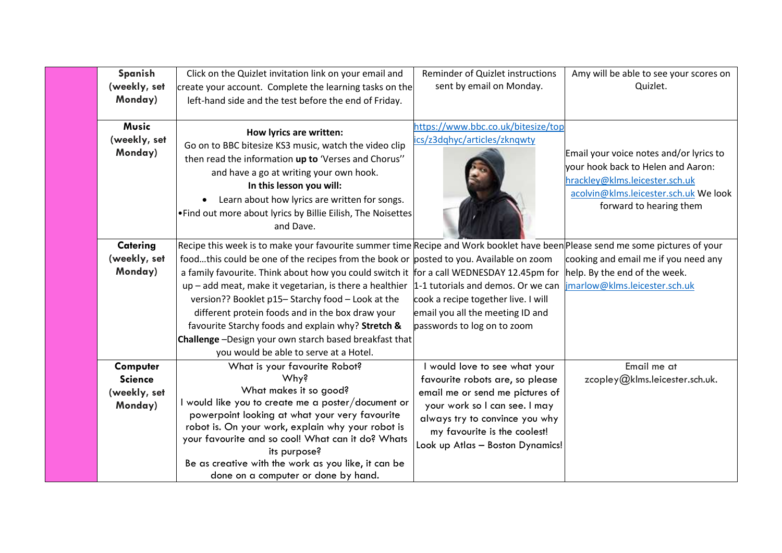| Spanish        | Click on the Quizlet invitation link on your email and                                                                        | Reminder of Quizlet instructions    | Amy will be able to see your scores on  |
|----------------|-------------------------------------------------------------------------------------------------------------------------------|-------------------------------------|-----------------------------------------|
| (weekly, set   | create your account. Complete the learning tasks on the                                                                       | sent by email on Monday.            | Quizlet.                                |
| Monday)        | left-hand side and the test before the end of Friday.                                                                         |                                     |                                         |
|                |                                                                                                                               |                                     |                                         |
| <b>Music</b>   | How lyrics are written:                                                                                                       | https://www.bbc.co.uk/bitesize/top  |                                         |
| (weekly, set   | Go on to BBC bitesize KS3 music, watch the video clip                                                                         | ics/z3dqhyc/articles/zknqwty        |                                         |
| Monday)        | then read the information up to 'Verses and Chorus"                                                                           |                                     | Email your voice notes and/or lyrics to |
|                | and have a go at writing your own hook.                                                                                       |                                     | vour hook back to Helen and Aaron:      |
|                | In this lesson you will:                                                                                                      |                                     | hrackley@klms.leicester.sch.uk          |
|                | Learn about how lyrics are written for songs.                                                                                 |                                     | acolvin@klms.leicester.sch.uk We look   |
|                | . Find out more about lyrics by Billie Eilish, The Noisettes                                                                  |                                     | forward to hearing them                 |
|                | and Dave.                                                                                                                     |                                     |                                         |
| Catering       | Recipe this week is to make your favourite summer time Recipe and Work booklet have been Please send me some pictures of your |                                     |                                         |
| (weekly, set   | foodthis could be one of the recipes from the book or posted to you. Available on zoom                                        |                                     | cooking and email me if you need any    |
| Monday)        | a family favourite. Think about how you could switch it for a call WEDNESDAY 12.45pm for                                      |                                     | help. By the end of the week.           |
|                | $up$ – add meat, make it vegetarian, is there a healthier 1-1 tutorials and demos. Or we can                                  |                                     | jmarlow@klms.leicester.sch.uk           |
|                | version?? Booklet p15-Starchy food - Look at the                                                                              | cook a recipe together live. I will |                                         |
|                | different protein foods and in the box draw your                                                                              | email you all the meeting ID and    |                                         |
|                | favourite Starchy foods and explain why? Stretch &                                                                            | passwords to log on to zoom         |                                         |
|                | Challenge -Design your own starch based breakfast that                                                                        |                                     |                                         |
|                | you would be able to serve at a Hotel.                                                                                        |                                     |                                         |
| Computer       | What is your favourite Robot?                                                                                                 | I would love to see what your       | Email me at                             |
| <b>Science</b> | Why?                                                                                                                          | favourite robots are, so please     | zcopley@klms.leicester.sch.uk.          |
| (weekly, set   | What makes it so good?                                                                                                        | email me or send me pictures of     |                                         |
| Monday)        | I would like you to create me a poster/document or<br>powerpoint looking at what your very favourite                          | your work so I can see. I may       |                                         |
|                | robot is. On your work, explain why your robot is                                                                             | always try to convince you why      |                                         |
|                | your favourite and so cool! What can it do? Whats                                                                             | my favourite is the coolest!        |                                         |
|                | its purpose?                                                                                                                  | Look up Atlas - Boston Dynamics!    |                                         |
|                | Be as creative with the work as you like, it can be                                                                           |                                     |                                         |
|                | done on a computer or done by hand.                                                                                           |                                     |                                         |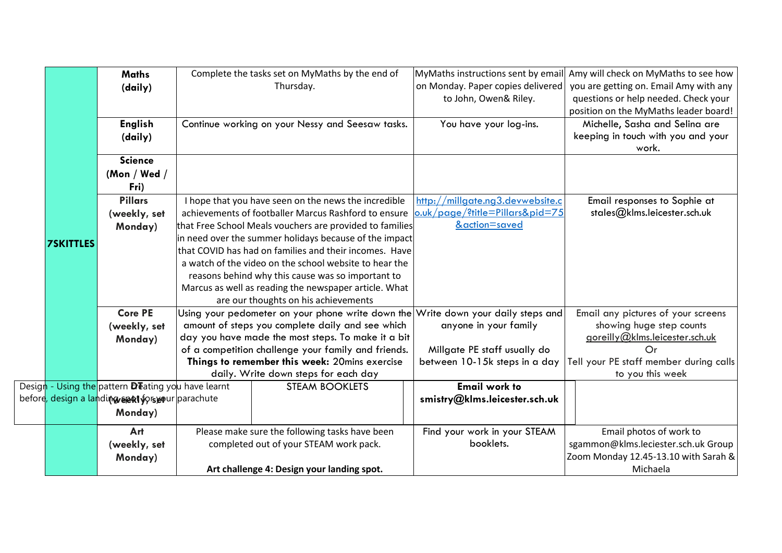|                  | <b>Maths</b>                                                             |                                            | Complete the tasks set on MyMaths by the end of                                   | MyMaths instructions sent by email | Amy will check on MyMaths to see how   |
|------------------|--------------------------------------------------------------------------|--------------------------------------------|-----------------------------------------------------------------------------------|------------------------------------|----------------------------------------|
|                  | (daily)                                                                  |                                            | Thursday.                                                                         | on Monday. Paper copies delivered  | you are getting on. Email Amy with any |
|                  |                                                                          |                                            |                                                                                   | to John, Owen& Riley.              | questions or help needed. Check your   |
|                  |                                                                          |                                            |                                                                                   |                                    | position on the MyMaths leader board!  |
|                  | <b>English</b>                                                           |                                            | Continue working on your Nessy and Seesaw tasks.                                  | You have your log-ins.             | Michelle, Sasha and Selina are         |
|                  | (daily)                                                                  |                                            |                                                                                   |                                    | keeping in touch with you and your     |
|                  |                                                                          |                                            |                                                                                   |                                    | work.                                  |
|                  | <b>Science</b>                                                           |                                            |                                                                                   |                                    |                                        |
|                  | (Mon / Wed /                                                             |                                            |                                                                                   |                                    |                                        |
|                  | Fri)                                                                     |                                            |                                                                                   |                                    |                                        |
|                  | <b>Pillars</b>                                                           |                                            | I hope that you have seen on the news the incredible                              | http://millgate.ng3.devwebsite.c   | Email responses to Sophie at           |
|                  | (weekly, set                                                             |                                            | achievements of footballer Marcus Rashford to ensure                              | o.uk/page/?title=Pillars&pid=75    | stales@klms.leicester.sch.uk           |
|                  | Monday)                                                                  |                                            | that Free School Meals vouchers are provided to families                          | &action=saved                      |                                        |
| <b>7SKITTLES</b> |                                                                          |                                            | in need over the summer holidays because of the impact                            |                                    |                                        |
|                  |                                                                          |                                            | that COVID has had on families and their incomes. Have                            |                                    |                                        |
|                  |                                                                          |                                            | a watch of the video on the school website to hear the                            |                                    |                                        |
|                  |                                                                          |                                            | reasons behind why this cause was so important to                                 |                                    |                                        |
|                  |                                                                          |                                            | Marcus as well as reading the newspaper article. What                             |                                    |                                        |
|                  |                                                                          |                                            | are our thoughts on his achievements                                              |                                    |                                        |
|                  | <b>Core PE</b>                                                           |                                            | Using your pedometer on your phone write down the Write down your daily steps and |                                    | Email any pictures of your screens     |
|                  | (weekly, set                                                             |                                            | amount of steps you complete daily and see which                                  | anyone in your family              | showing huge step counts               |
|                  | Monday)                                                                  |                                            | day you have made the most steps. To make it a bit                                |                                    | goreilly@klms.leicester.sch.uk         |
|                  |                                                                          |                                            | of a competition challenge your family and friends.                               | Millgate PE staff usually do       | Or                                     |
|                  |                                                                          |                                            | Things to remember this week: 20mins exercise                                     | between 10-15k steps in a day      | Tell your PE staff member during calls |
|                  |                                                                          |                                            | daily. Write down steps for each day                                              |                                    | to you this week                       |
|                  | Design - Using the pattern <b>D</b> Teating you have learnt              |                                            | <b>STEAM BOOKLETS</b>                                                             | <b>Email work to</b>               |                                        |
|                  | before <mark>, design a lan</mark> di <b>ng sext fors e</b> ur parachute |                                            |                                                                                   | smistry@klms.leicester.sch.uk      |                                        |
|                  | Monday)                                                                  |                                            |                                                                                   |                                    |                                        |
|                  | Art                                                                      |                                            | Please make sure the following tasks have been                                    | Find your work in your STEAM       | Email photos of work to                |
|                  | (weekly, set                                                             |                                            | completed out of your STEAM work pack.                                            | booklets.                          | sgammon@klms.leciester.sch.uk Group    |
|                  | Monday)                                                                  |                                            |                                                                                   |                                    | Zoom Monday 12.45-13.10 with Sarah &   |
|                  |                                                                          | Art challenge 4: Design your landing spot. |                                                                                   |                                    | Michaela                               |